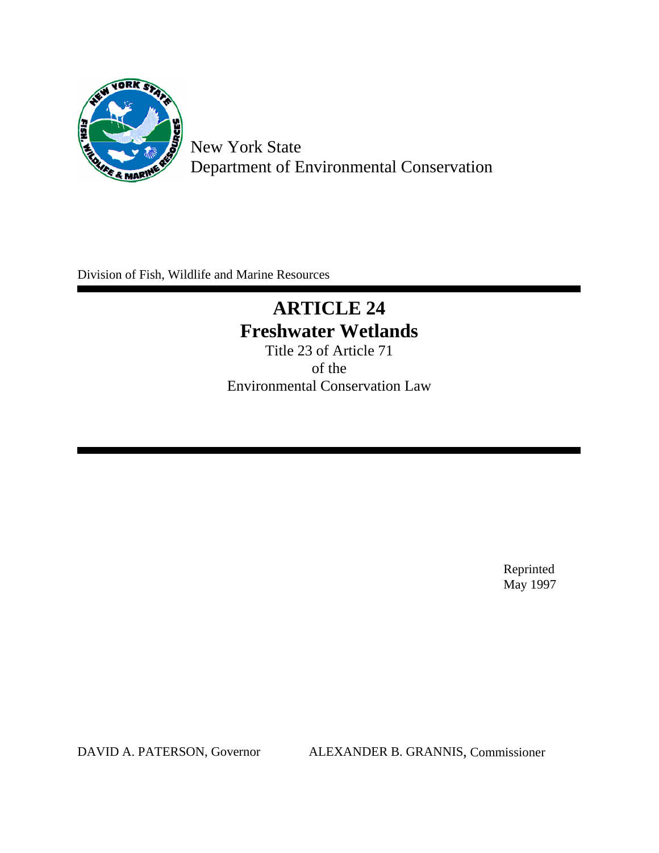

 New York State Department of Environmental Conservation

Division of Fish, Wildlife and Marine Resources

# **ARTICLE 24 Freshwater Wetlands**

Title 23 of Article 71 of the Environmental Conservation Law

> Reprinted May 1997

DAVID A. PATERSON, Governor ALEXANDER B. GRANNIS, Commissioner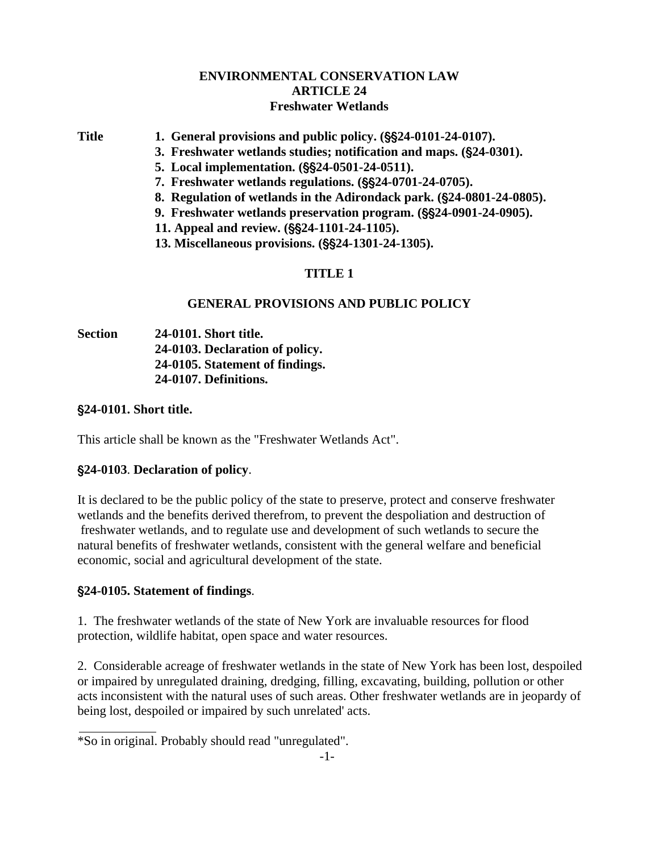# **ENVIRONMENTAL CONSERVATION LAW ARTICLE 24 Freshwater Wetlands**

Title 1. General provisions and public policy. ( $\S$ \$24-0101-24-0107).

- **[3. Freshwater wetlands studies; notification and maps. \(](#page-5-0)**'**24-0301).**
- **5.** Local implementation. (\$\$24-0501-24-0511).
- **[7. Freshwater wetlands regulations. \(](#page-10-0)\$\$24-0701-24-0705).**
- **[8. Regulation of wetlands in the Adirondack park. \(](#page-14-0)**'**24-0801-24-0805).**
- **[9. Freshwater wetlands preservation program. \(](#page-16-0)\$\$24-0901-24-0905).**
- [11. Appeal and review. \(](#page-19-0)§§24-1101-24-1105).
- [13. Miscellaneous provisions. \(](#page-23-0)§§24-1301-24-1305).

# **TITLE 1**

## **GENERAL PROVISIONS AND PUBLIC POLICY**

**Section 24-0101. Short title. 24-0103. Declaration of policy. 24-0105. Statement of findings. [24-0107. Definitions.](#page-3-0)**

'**24-0101. Short title.**

This article shall be known as the "Freshwater Wetlands Act".

# '**24-0103**. **Declaration of policy**.

It is declared to be the public policy of the state to preserve, protect and conserve freshwater wetlands and the benefits derived therefrom, to prevent the despoliation and destruction of freshwater wetlands, and to regulate use and development of such wetlands to secure the natural benefits of freshwater wetlands, consistent with the general welfare and beneficial economic, social and agricultural development of the state.

# '**24-0105. Statement of findings**.

1. The freshwater wetlands of the state of New York are invaluable resources for flood protection, wildlife habitat, open space and water resources.

2. Considerable acreage of freshwater wetlands in the state of New York has been lost, despoiled or impaired by unregulated draining, dredging, filling, excavating, building, pollution or other acts inconsistent with the natural uses of such areas. Other freshwater wetlands are in jeopardy of being lost, despoiled or impaired by such unrelated' acts.

\*So in original. Probably should read "unregulated".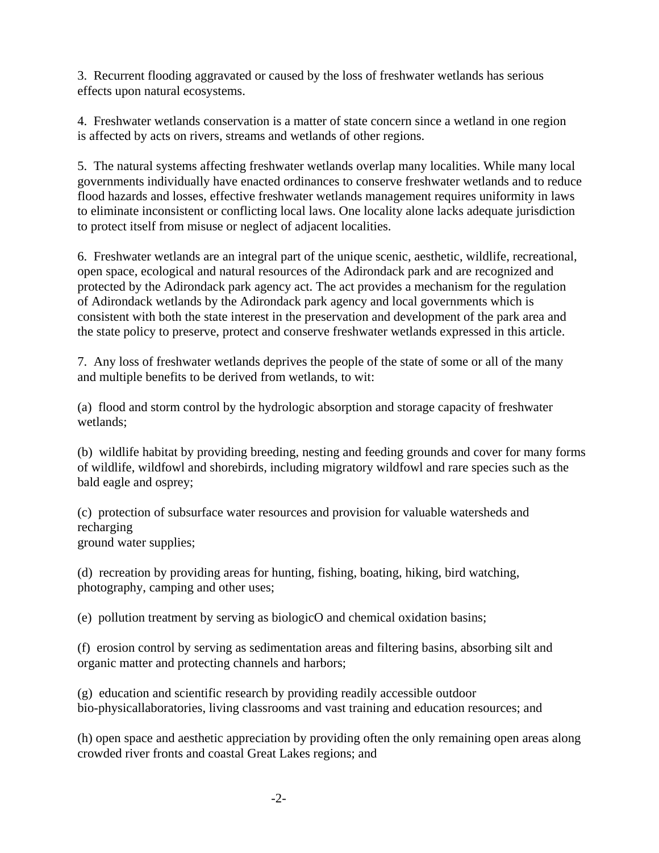3. Recurrent flooding aggravated or caused by the loss of freshwater wetlands has serious effects upon natural ecosystems.

4. Freshwater wetlands conservation is a matter of state concern since a wetland in one region is affected by acts on rivers, streams and wetlands of other regions.

5. The natural systems affecting freshwater wetlands overlap many localities. While many local governments individually have enacted ordinances to conserve freshwater wetlands and to reduce flood hazards and losses, effective freshwater wetlands management requires uniformity in laws to eliminate inconsistent or conflicting local laws. One locality alone lacks adequate jurisdiction to protect itself from misuse or neglect of adjacent localities.

6. Freshwater wetlands are an integral part of the unique scenic, aesthetic, wildlife, recreational, open space, ecological and natural resources of the Adirondack park and are recognized and protected by the Adirondack park agency act. The act provides a mechanism for the regulation of Adirondack wetlands by the Adirondack park agency and local governments which is consistent with both the state interest in the preservation and development of the park area and the state policy to preserve, protect and conserve freshwater wetlands expressed in this article.

7. Any loss of freshwater wetlands deprives the people of the state of some or all of the many and multiple benefits to be derived from wetlands, to wit:

(a) flood and storm control by the hydrologic absorption and storage capacity of freshwater wetlands;

(b) wildlife habitat by providing breeding, nesting and feeding grounds and cover for many forms of wildlife, wildfowl and shorebirds, including migratory wildfowl and rare species such as the bald eagle and osprey;

(c) protection of subsurface water resources and provision for valuable watersheds and recharging ground water supplies;

(d) recreation by providing areas for hunting, fishing, boating, hiking, bird watching, photography, camping and other uses;

(e) pollution treatment by serving as biologicO and chemical oxidation basins;

(f) erosion control by serving as sedimentation areas and filtering basins, absorbing silt and organic matter and protecting channels and harbors;

(g) education and scientific research by providing readily accessible outdoor bio-physicallaboratories, living classrooms and vast training and education resources; and

(h) open space and aesthetic appreciation by providing often the only remaining open areas along crowded river fronts and coastal Great Lakes regions; and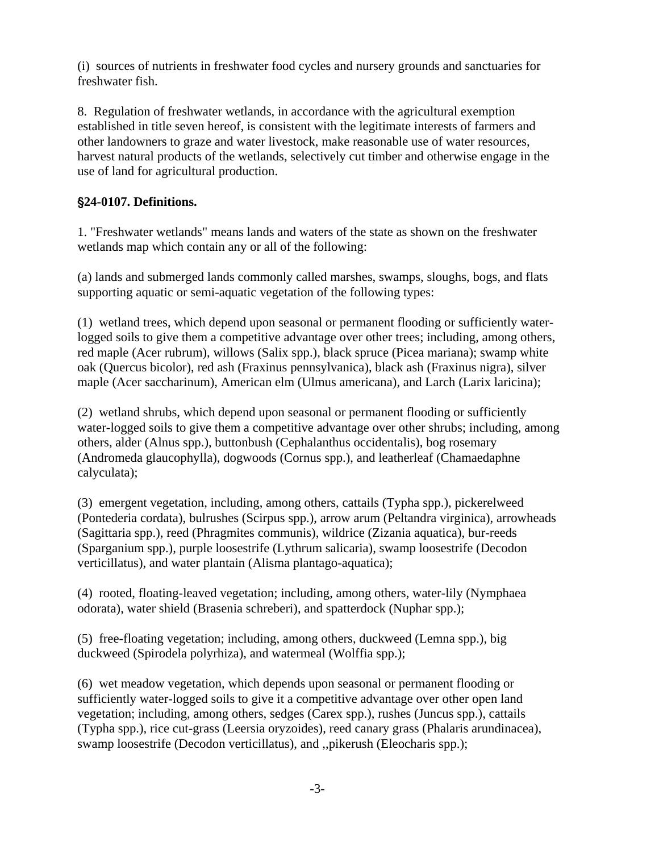<span id="page-3-0"></span>(i) sources of nutrients in freshwater food cycles and nursery grounds and sanctuaries for freshwater fish.

8. Regulation of freshwater wetlands, in accordance with the agricultural exemption established in title seven hereof, is consistent with the legitimate interests of farmers and other landowners to graze and water livestock, make reasonable use of water resources, harvest natural products of the wetlands, selectively cut timber and otherwise engage in the use of land for agricultural production.

# '**24-0107. Definitions.**

1. "Freshwater wetlands" means lands and waters of the state as shown on the freshwater wetlands map which contain any or all of the following:

(a) lands and submerged lands commonly called marshes, swamps, sloughs, bogs, and flats supporting aquatic or semi-aquatic vegetation of the following types:

(1) wetland trees, which depend upon seasonal or permanent flooding or sufficiently waterlogged soils to give them a competitive advantage over other trees; including, among others, red maple (Acer rubrum), willows (Salix spp.), black spruce (Picea mariana); swamp white oak (Quercus bicolor), red ash (Fraxinus pennsylvanica), black ash (Fraxinus nigra), silver maple (Acer saccharinum), American elm (Ulmus americana), and Larch (Larix laricina);

(2) wetland shrubs, which depend upon seasonal or permanent flooding or sufficiently water-logged soils to give them a competitive advantage over other shrubs; including, among others, alder (Alnus spp.), buttonbush (Cephalanthus occidentalis), bog rosemary (Andromeda glaucophylla), dogwoods (Cornus spp.), and leatherleaf (Chamaedaphne calyculata);

(3) emergent vegetation, including, among others, cattails (Typha spp.), pickerelweed (Pontederia cordata), bulrushes (Scirpus spp.), arrow arum (Peltandra virginica), arrowheads (Sagittaria spp.), reed (Phragmites communis), wildrice (Zizania aquatica), bur-reeds (Sparganium spp.), purple loosestrife (Lythrum salicaria), swamp loosestrife (Decodon verticillatus), and water plantain (Alisma plantago-aquatica);

(4) rooted, floating-leaved vegetation; including, among others, water-lily (Nymphaea odorata), water shield (Brasenia schreberi), and spatterdock (Nuphar spp.);

(5) free-floating vegetation; including, among others, duckweed (Lemna spp.), big duckweed (Spirodela polyrhiza), and watermeal (Wolffia spp.);

(6) wet meadow vegetation, which depends upon seasonal or permanent flooding or sufficiently water-logged soils to give it a competitive advantage over other open land vegetation; including, among others, sedges (Carex spp.), rushes (Juncus spp.), cattails (Typha spp.), rice cut-grass (Leersia oryzoides), reed canary grass (Phalaris arundinacea), swamp loosestrife (Decodon verticillatus), and ,,pikerush (Eleocharis spp.);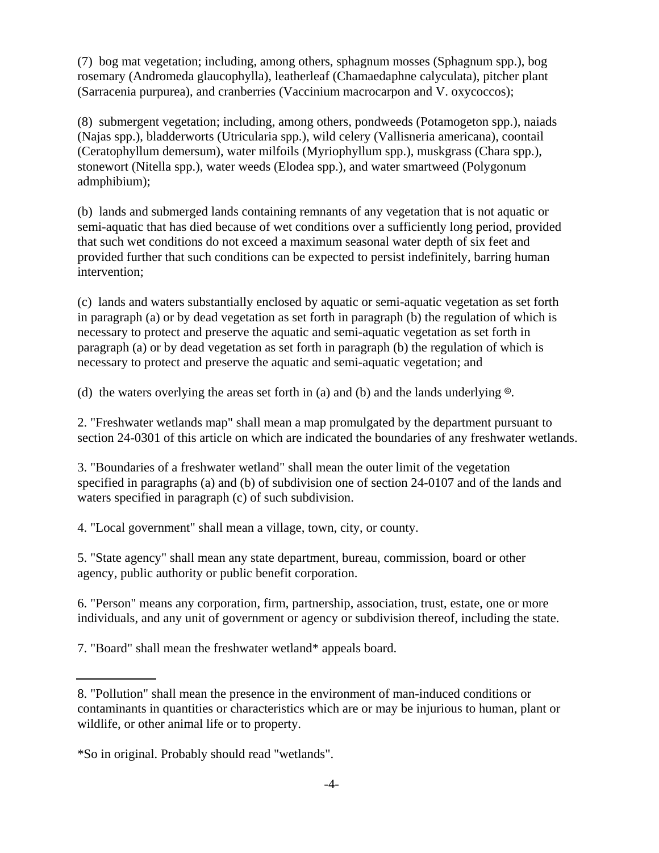(7) bog mat vegetation; including, among others, sphagnum mosses (Sphagnum spp.), bog rosemary (Andromeda glaucophylla), leatherleaf (Chamaedaphne calyculata), pitcher plant (Sarracenia purpurea), and cranberries (Vaccinium macrocarpon and V. oxycoccos);

(8) submergent vegetation; including, among others, pondweeds (Potamogeton spp.), naiads (Najas spp.), bladderworts (Utricularia spp.), wild celery (Vallisneria americana), coontail (Ceratophyllum demersum), water milfoils (Myriophyllum spp.), muskgrass (Chara spp.), stonewort (Nitella spp.), water weeds (Elodea spp.), and water smartweed (Polygonum admphibium);

(b) lands and submerged lands containing remnants of any vegetation that is not aquatic or semi-aquatic that has died because of wet conditions over a sufficiently long period, provided that such wet conditions do not exceed a maximum seasonal water depth of six feet and provided further that such conditions can be expected to persist indefinitely, barring human intervention;

(c) lands and waters substantially enclosed by aquatic or semi-aquatic vegetation as set forth in paragraph (a) or by dead vegetation as set forth in paragraph (b) the regulation of which is necessary to protect and preserve the aquatic and semi-aquatic vegetation as set forth in paragraph (a) or by dead vegetation as set forth in paragraph (b) the regulation of which is necessary to protect and preserve the aquatic and semi-aquatic vegetation; and

(d) the waters overlying the areas set forth in (a) and (b) and the lands underlying  $\&$ .

2. "Freshwater wetlands map" shall mean a map promulgated by the department pursuant to section 24-0301 of this article on which are indicated the boundaries of any freshwater wetlands.

3. "Boundaries of a freshwater wetland" shall mean the outer limit of the vegetation specified in paragraphs (a) and (b) of subdivision one of section 24-0107 and of the lands and waters specified in paragraph (c) of such subdivision.

4. "Local government" shall mean a village, town, city, or county.

5. "State agency" shall mean any state department, bureau, commission, board or other agency, public authority or public benefit corporation.

6. "Person" means any corporation, firm, partnership, association, trust, estate, one or more individuals, and any unit of government or agency or subdivision thereof, including the state.

7. "Board" shall mean the freshwater wetland\* appeals board.

<sup>8. &</sup>quot;Pollution" shall mean the presence in the environment of man-induced conditions or contaminants in quantities or characteristics which are or may be injurious to human, plant or wildlife, or other animal life or to property.

<sup>\*</sup>So in original. Probably should read "wetlands".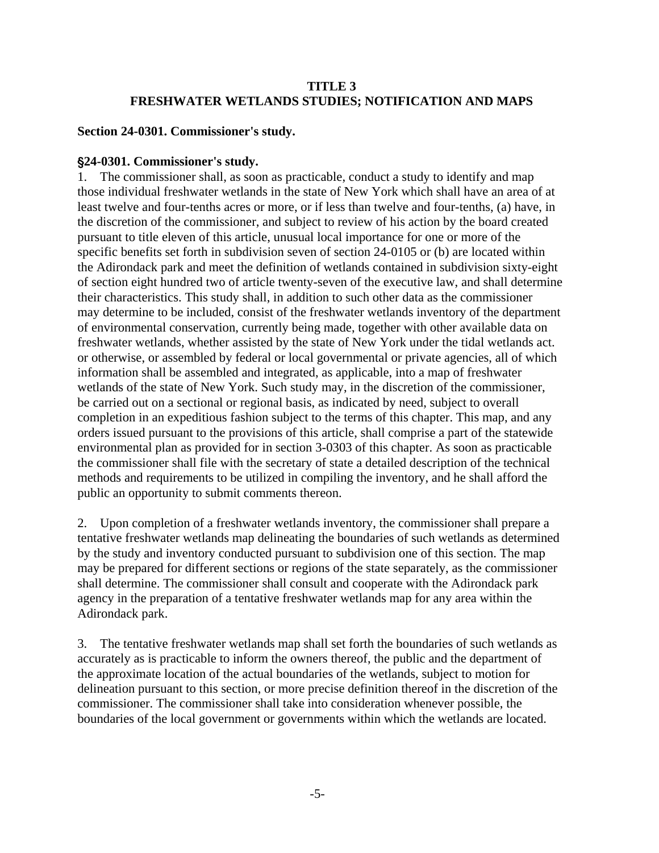# **TITLE 3 FRESHWATER WETLANDS STUDIES; NOTIFICATION AND MAPS**

### <span id="page-5-0"></span>**Section 24-0301. Commissioner's study.**

### '**24-0301. Commissioner's study.**

1. The commissioner shall, as soon as practicable, conduct a study to identify and map those individual freshwater wetlands in the state of New York which shall have an area of at least twelve and four-tenths acres or more, or if less than twelve and four-tenths, (a) have, in the discretion of the commissioner, and subject to review of his action by the board created pursuant to title eleven of this article, unusual local importance for one or more of the specific benefits set forth in subdivision seven of section 24-0105 or (b) are located within the Adirondack park and meet the definition of wetlands contained in subdivision sixty-eight of section eight hundred two of article twenty-seven of the executive law, and shall determine their characteristics. This study shall, in addition to such other data as the commissioner may determine to be included, consist of the freshwater wetlands inventory of the department of environmental conservation, currently being made, together with other available data on freshwater wetlands, whether assisted by the state of New York under the tidal wetlands act. or otherwise, or assembled by federal or local governmental or private agencies, all of which information shall be assembled and integrated, as applicable, into a map of freshwater wetlands of the state of New York. Such study may, in the discretion of the commissioner, be carried out on a sectional or regional basis, as indicated by need, subject to overall completion in an expeditious fashion subject to the terms of this chapter. This map, and any orders issued pursuant to the provisions of this article, shall comprise a part of the statewide environmental plan as provided for in section 3-0303 of this chapter. As soon as practicable the commissioner shall file with the secretary of state a detailed description of the technical methods and requirements to be utilized in compiling the inventory, and he shall afford the public an opportunity to submit comments thereon.

2. Upon completion of a freshwater wetlands inventory, the commissioner shall prepare a tentative freshwater wetlands map delineating the boundaries of such wetlands as determined by the study and inventory conducted pursuant to subdivision one of this section. The map may be prepared for different sections or regions of the state separately, as the commissioner shall determine. The commissioner shall consult and cooperate with the Adirondack park agency in the preparation of a tentative freshwater wetlands map for any area within the Adirondack park.

3. The tentative freshwater wetlands map shall set forth the boundaries of such wetlands as accurately as is practicable to inform the owners thereof, the public and the department of the approximate location of the actual boundaries of the wetlands, subject to motion for delineation pursuant to this section, or more precise definition thereof in the discretion of the commissioner. The commissioner shall take into consideration whenever possible, the boundaries of the local government or governments within which the wetlands are located.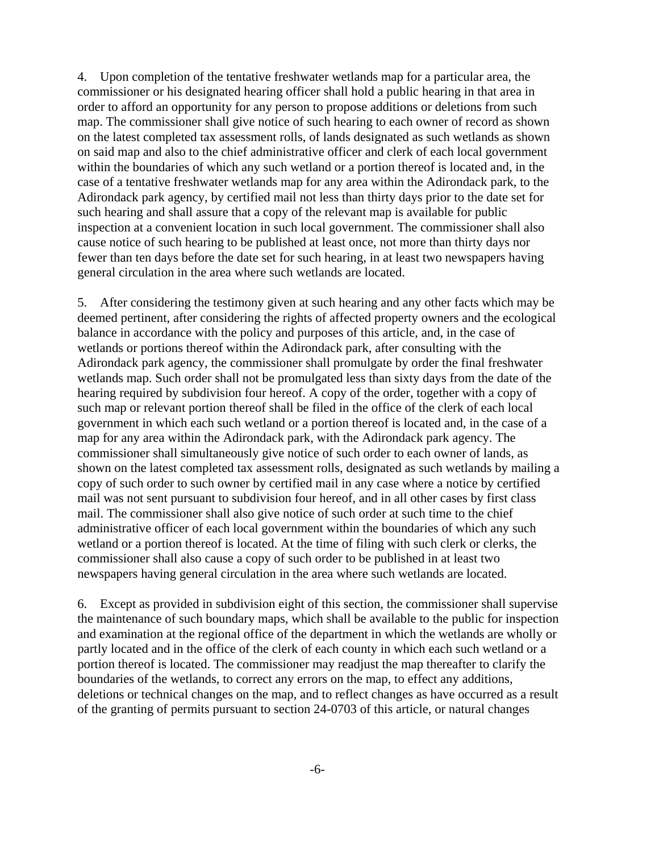4. Upon completion of the tentative freshwater wetlands map for a particular area, the commissioner or his designated hearing officer shall hold a public hearing in that area in order to afford an opportunity for any person to propose additions or deletions from such map. The commissioner shall give notice of such hearing to each owner of record as shown on the latest completed tax assessment rolls, of lands designated as such wetlands as shown on said map and also to the chief administrative officer and clerk of each local government within the boundaries of which any such wetland or a portion thereof is located and, in the case of a tentative freshwater wetlands map for any area within the Adirondack park, to the Adirondack park agency, by certified mail not less than thirty days prior to the date set for such hearing and shall assure that a copy of the relevant map is available for public inspection at a convenient location in such local government. The commissioner shall also cause notice of such hearing to be published at least once, not more than thirty days nor fewer than ten days before the date set for such hearing, in at least two newspapers having general circulation in the area where such wetlands are located.

5. After considering the testimony given at such hearing and any other facts which may be deemed pertinent, after considering the rights of affected property owners and the ecological balance in accordance with the policy and purposes of this article, and, in the case of wetlands or portions thereof within the Adirondack park, after consulting with the Adirondack park agency, the commissioner shall promulgate by order the final freshwater wetlands map. Such order shall not be promulgated less than sixty days from the date of the hearing required by subdivision four hereof. A copy of the order, together with a copy of such map or relevant portion thereof shall be filed in the office of the clerk of each local government in which each such wetland or a portion thereof is located and, in the case of a map for any area within the Adirondack park, with the Adirondack park agency. The commissioner shall simultaneously give notice of such order to each owner of lands, as shown on the latest completed tax assessment rolls, designated as such wetlands by mailing a copy of such order to such owner by certified mail in any case where a notice by certified mail was not sent pursuant to subdivision four hereof, and in all other cases by first class mail. The commissioner shall also give notice of such order at such time to the chief administrative officer of each local government within the boundaries of which any such wetland or a portion thereof is located. At the time of filing with such clerk or clerks, the commissioner shall also cause a copy of such order to be published in at least two newspapers having general circulation in the area where such wetlands are located.

6. Except as provided in subdivision eight of this section, the commissioner shall supervise the maintenance of such boundary maps, which shall be available to the public for inspection and examination at the regional office of the department in which the wetlands are wholly or partly located and in the office of the clerk of each county in which each such wetland or a portion thereof is located. The commissioner may readjust the map thereafter to clarify the boundaries of the wetlands, to correct any errors on the map, to effect any additions, deletions or technical changes on the map, and to reflect changes as have occurred as a result of the granting of permits pursuant to section 24-0703 of this article, or natural changes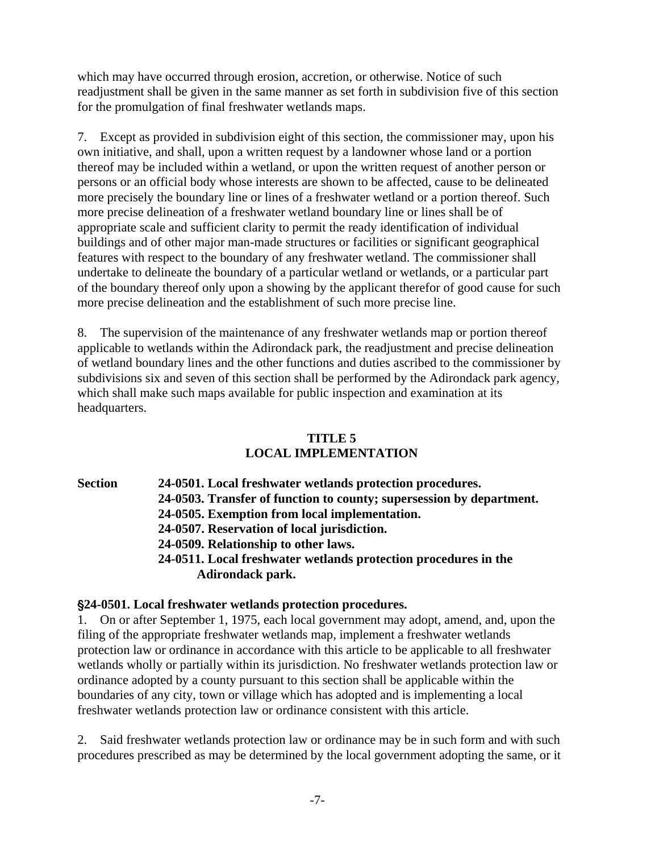<span id="page-7-0"></span>which may have occurred through erosion, accretion, or otherwise. Notice of such readjustment shall be given in the same manner as set forth in subdivision five of this section for the promulgation of final freshwater wetlands maps.

7. Except as provided in subdivision eight of this section, the commissioner may, upon his own initiative, and shall, upon a written request by a landowner whose land or a portion thereof may be included within a wetland, or upon the written request of another person or persons or an official body whose interests are shown to be affected, cause to be delineated more precisely the boundary line or lines of a freshwater wetland or a portion thereof. Such more precise delineation of a freshwater wetland boundary line or lines shall be of appropriate scale and sufficient clarity to permit the ready identification of individual buildings and of other major man-made structures or facilities or significant geographical features with respect to the boundary of any freshwater wetland. The commissioner shall undertake to delineate the boundary of a particular wetland or wetlands, or a particular part of the boundary thereof only upon a showing by the applicant therefor of good cause for such more precise delineation and the establishment of such more precise line.

8. The supervision of the maintenance of any freshwater wetlands map or portion thereof applicable to wetlands within the Adirondack park, the readjustment and precise delineation of wetland boundary lines and the other functions and duties ascribed to the commissioner by subdivisions six and seven of this section shall be performed by the Adirondack park agency, which shall make such maps available for public inspection and examination at its headquarters.

# **TITLE 5**

# **LOCAL IMPLEMENTATION**

**Section 24-0501. Local freshwater wetlands protection procedures.  [24-0503. Transfer of function to county; supersession by department.](#page-9-0)   [24-0505. Exemption from local implementation.](#page-9-0)   [24-0507. Reservation of local jurisdiction.](#page-9-0)   [24-0509. Relationship to other laws.](#page-10-0)   [24-0511. Local freshwater wetlands protection procedures in the](#page-10-0)** 

 **Adirondack park.** 

# '**24-0501. Local freshwater wetlands protection procedures.**

1. On or after September 1, 1975, each local government may adopt, amend, and, upon the filing of the appropriate freshwater wetlands map, implement a freshwater wetlands protection law or ordinance in accordance with this article to be applicable to all freshwater wetlands wholly or partially within its jurisdiction. No freshwater wetlands protection law or ordinance adopted by a county pursuant to this section shall be applicable within the boundaries of any city, town or village which has adopted and is implementing a local freshwater wetlands protection law or ordinance consistent with this article.

2. Said freshwater wetlands protection law or ordinance may be in such form and with such procedures prescribed as may be determined by the local government adopting the same, or it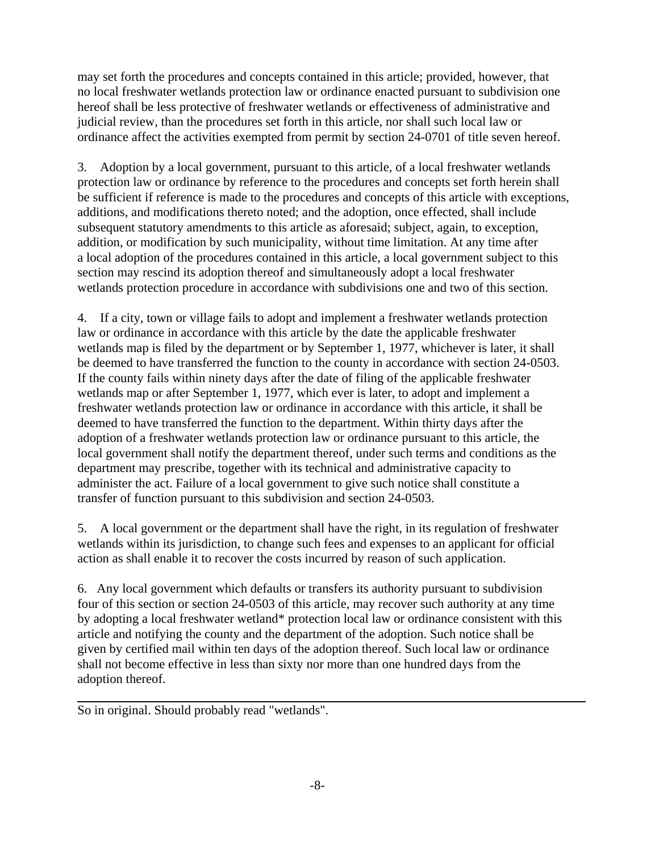may set forth the procedures and concepts contained in this article; provided, however, that no local freshwater wetlands protection law or ordinance enacted pursuant to subdivision one hereof shall be less protective of freshwater wetlands or effectiveness of administrative and judicial review, than the procedures set forth in this article, nor shall such local law or ordinance affect the activities exempted from permit by section 24-0701 of title seven hereof.

3. Adoption by a local government, pursuant to this article, of a local freshwater wetlands protection law or ordinance by reference to the procedures and concepts set forth herein shall be sufficient if reference is made to the procedures and concepts of this article with exceptions, additions, and modifications thereto noted; and the adoption, once effected, shall include subsequent statutory amendments to this article as aforesaid; subject, again, to exception, addition, or modification by such municipality, without time limitation. At any time after a local adoption of the procedures contained in this article, a local government subject to this section may rescind its adoption thereof and simultaneously adopt a local freshwater wetlands protection procedure in accordance with subdivisions one and two of this section.

4. If a city, town or village fails to adopt and implement a freshwater wetlands protection law or ordinance in accordance with this article by the date the applicable freshwater wetlands map is filed by the department or by September 1, 1977, whichever is later, it shall be deemed to have transferred the function to the county in accordance with section 24-0503. If the county fails within ninety days after the date of filing of the applicable freshwater wetlands map or after September 1, 1977, which ever is later, to adopt and implement a freshwater wetlands protection law or ordinance in accordance with this article, it shall be deemed to have transferred the function to the department. Within thirty days after the adoption of a freshwater wetlands protection law or ordinance pursuant to this article, the local government shall notify the department thereof, under such terms and conditions as the department may prescribe, together with its technical and administrative capacity to administer the act. Failure of a local government to give such notice shall constitute a transfer of function pursuant to this subdivision and section 24-0503.

5. A local government or the department shall have the right, in its regulation of freshwater wetlands within its jurisdiction, to change such fees and expenses to an applicant for official action as shall enable it to recover the costs incurred by reason of such application.

6. Any local government which defaults or transfers its authority pursuant to subdivision four of this section or section 24-0503 of this article, may recover such authority at any time by adopting a local freshwater wetland\* protection local law or ordinance consistent with this article and notifying the county and the department of the adoption. Such notice shall be given by certified mail within ten days of the adoption thereof. Such local law or ordinance shall not become effective in less than sixty nor more than one hundred days from the adoption thereof.

So in original. Should probably read "wetlands".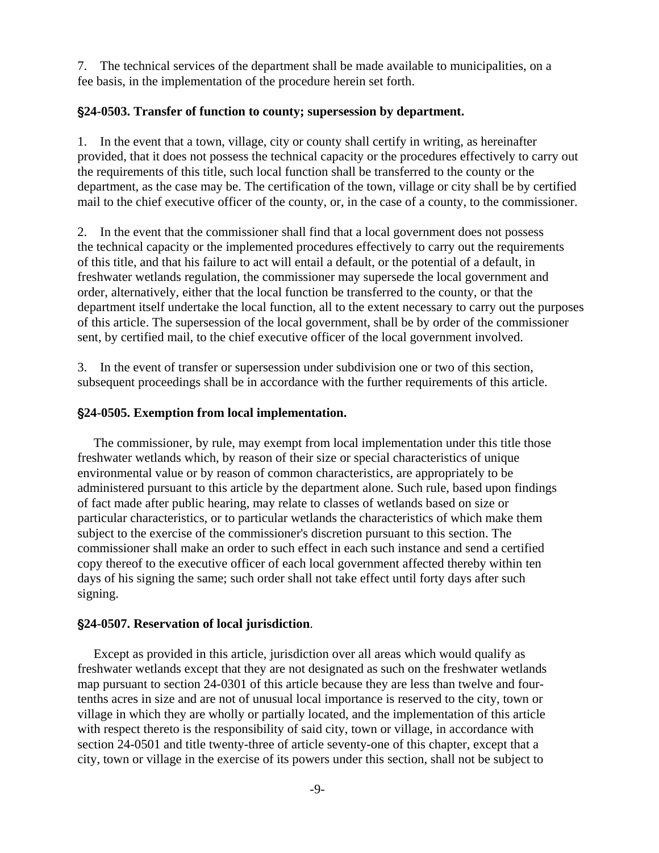<span id="page-9-0"></span>7. The technical services of the department shall be made available to municipalities, on a fee basis, in the implementation of the procedure herein set forth.

## '**24-0503. Transfer of function to county; supersession by department.**

1. In the event that a town, village, city or county shall certify in writing, as hereinafter provided, that it does not possess the technical capacity or the procedures effectively to carry out the requirements of this title, such local function shall be transferred to the county or the department, as the case may be. The certification of the town, village or city shall be by certified mail to the chief executive officer of the county, or, in the case of a county, to the commissioner.

2. In the event that the commissioner shall find that a local government does not possess the technical capacity or the implemented procedures effectively to carry out the requirements of this title, and that his failure to act will entail a default, or the potential of a default, in freshwater wetlands regulation, the commissioner may supersede the local government and order, alternatively, either that the local function be transferred to the county, or that the department itself undertake the local function, all to the extent necessary to carry out the purposes of this article. The supersession of the local government, shall be by order of the commissioner sent, by certified mail, to the chief executive officer of the local government involved.

3. In the event of transfer or supersession under subdivision one or two of this section, subsequent proceedings shall be in accordance with the further requirements of this article.

## '**24-0505. Exemption from local implementation.**

 The commissioner, by rule, may exempt from local implementation under this title those freshwater wetlands which, by reason of their size or special characteristics of unique environmental value or by reason of common characteristics, are appropriately to be administered pursuant to this article by the department alone. Such rule, based upon findings of fact made after public hearing, may relate to classes of wetlands based on size or particular characteristics, or to particular wetlands the characteristics of which make them subject to the exercise of the commissioner's discretion pursuant to this section. The commissioner shall make an order to such effect in each such instance and send a certified copy thereof to the executive officer of each local government affected thereby within ten days of his signing the same; such order shall not take effect until forty days after such signing.

#### '**24-0507. Reservation of local jurisdiction**.

 Except as provided in this article, jurisdiction over all areas which would qualify as freshwater wetlands except that they are not designated as such on the freshwater wetlands map pursuant to section 24-0301 of this article because they are less than twelve and fourtenths acres in size and are not of unusual local importance is reserved to the city, town or village in which they are wholly or partially located, and the implementation of this article with respect thereto is the responsibility of said city, town or village, in accordance with section 24-0501 and title twenty-three of article seventy-one of this chapter, except that a city, town or village in the exercise of its powers under this section, shall not be subject to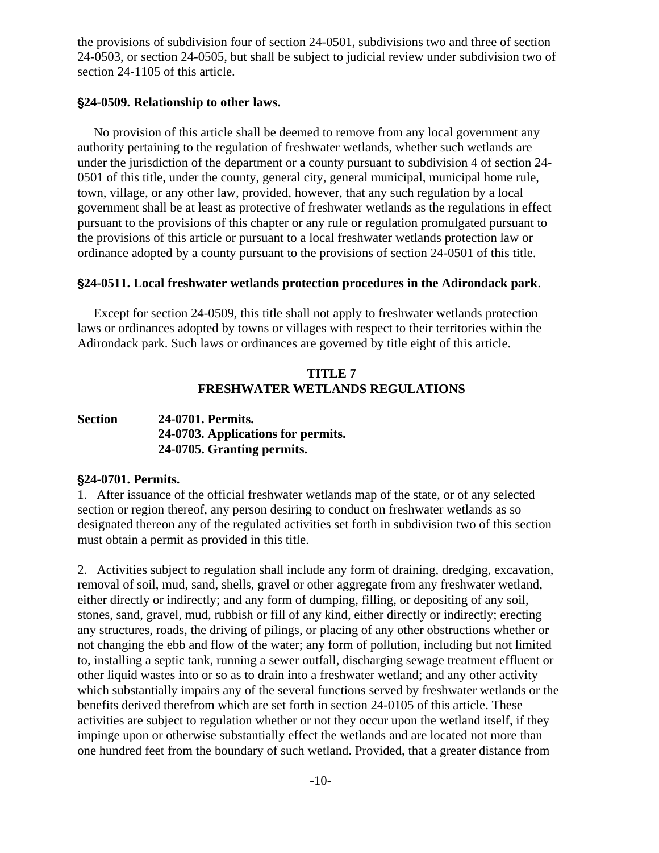<span id="page-10-0"></span>the provisions of subdivision four of section 24-0501, subdivisions two and three of section 24-0503, or section 24-0505, but shall be subject to judicial review under subdivision two of section 24-1105 of this article.

#### '**24-0509. Relationship to other laws.**

 No provision of this article shall be deemed to remove from any local government any authority pertaining to the regulation of freshwater wetlands, whether such wetlands are under the jurisdiction of the department or a county pursuant to subdivision 4 of section 24- 0501 of this title, under the county, general city, general municipal, municipal home rule, town, village, or any other law, provided, however, that any such regulation by a local government shall be at least as protective of freshwater wetlands as the regulations in effect pursuant to the provisions of this chapter or any rule or regulation promulgated pursuant to the provisions of this article or pursuant to a local freshwater wetlands protection law or ordinance adopted by a county pursuant to the provisions of section 24-0501 of this title.

#### '**24-0511. Local freshwater wetlands protection procedures in the Adirondack park**.

 Except for section 24-0509, this title shall not apply to freshwater wetlands protection laws or ordinances adopted by towns or villages with respect to their territories within the Adirondack park. Such laws or ordinances are governed by title eight of this article.

## **TITLE 7 FRESHWATER WETLANDS REGULATIONS**

# **Section 24-0701. Permits.  [24-0703. Applications for permits.](#page-11-0)  [24-0705. Granting permits.](#page-13-0)**

#### '**24-0701. Permits.**

1. After issuance of the official freshwater wetlands map of the state, or of any selected section or region thereof, any person desiring to conduct on freshwater wetlands as so designated thereon any of the regulated activities set forth in subdivision two of this section must obtain a permit as provided in this title.

2. Activities subject to regulation shall include any form of draining, dredging, excavation, removal of soil, mud, sand, shells, gravel or other aggregate from any freshwater wetland, either directly or indirectly; and any form of dumping, filling, or depositing of any soil, stones, sand, gravel, mud, rubbish or fill of any kind, either directly or indirectly; erecting any structures, roads, the driving of pilings, or placing of any other obstructions whether or not changing the ebb and flow of the water; any form of pollution, including but not limited to, installing a septic tank, running a sewer outfall, discharging sewage treatment effluent or other liquid wastes into or so as to drain into a freshwater wetland; and any other activity which substantially impairs any of the several functions served by freshwater wetlands or the benefits derived therefrom which are set forth in section 24-0105 of this article. These activities are subject to regulation whether or not they occur upon the wetland itself, if they impinge upon or otherwise substantially effect the wetlands and are located not more than one hundred feet from the boundary of such wetland. Provided, that a greater distance from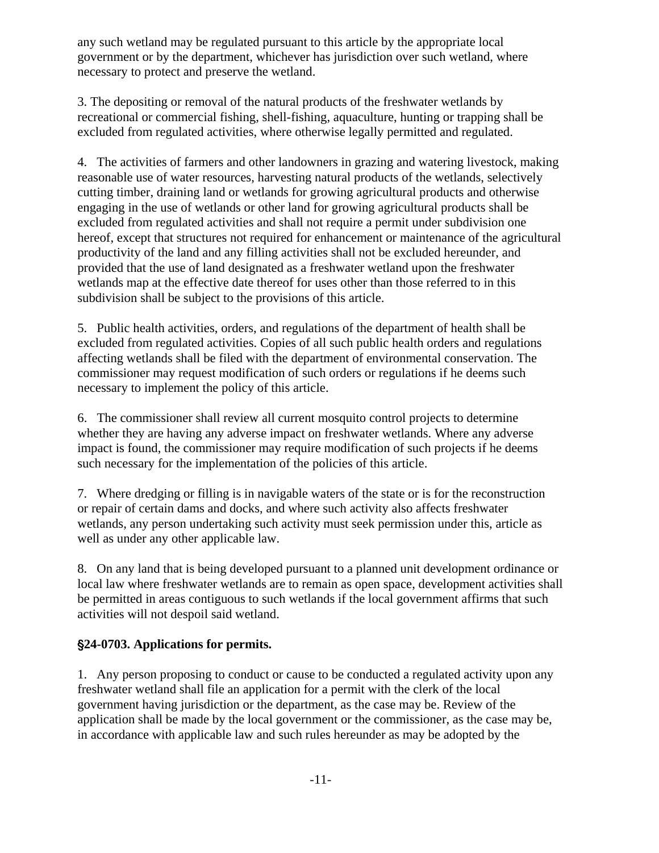<span id="page-11-0"></span>any such wetland may be regulated pursuant to this article by the appropriate local government or by the department, whichever has jurisdiction over such wetland, where necessary to protect and preserve the wetland.

3. The depositing or removal of the natural products of the freshwater wetlands by recreational or commercial fishing, shell-fishing, aquaculture, hunting or trapping shall be excluded from regulated activities, where otherwise legally permitted and regulated.

4. The activities of farmers and other landowners in grazing and watering livestock, making reasonable use of water resources, harvesting natural products of the wetlands, selectively cutting timber, draining land or wetlands for growing agricultural products and otherwise engaging in the use of wetlands or other land for growing agricultural products shall be excluded from regulated activities and shall not require a permit under subdivision one hereof, except that structures not required for enhancement or maintenance of the agricultural productivity of the land and any filling activities shall not be excluded hereunder, and provided that the use of land designated as a freshwater wetland upon the freshwater wetlands map at the effective date thereof for uses other than those referred to in this subdivision shall be subject to the provisions of this article.

5. Public health activities, orders, and regulations of the department of health shall be excluded from regulated activities. Copies of all such public health orders and regulations affecting wetlands shall be filed with the department of environmental conservation. The commissioner may request modification of such orders or regulations if he deems such necessary to implement the policy of this article.

6. The commissioner shall review all current mosquito control projects to determine whether they are having any adverse impact on freshwater wetlands. Where any adverse impact is found, the commissioner may require modification of such projects if he deems such necessary for the implementation of the policies of this article.

7. Where dredging or filling is in navigable waters of the state or is for the reconstruction or repair of certain dams and docks, and where such activity also affects freshwater wetlands, any person undertaking such activity must seek permission under this, article as well as under any other applicable law.

8. On any land that is being developed pursuant to a planned unit development ordinance or local law where freshwater wetlands are to remain as open space, development activities shall be permitted in areas contiguous to such wetlands if the local government affirms that such activities will not despoil said wetland.

# '**24-0703. Applications for permits.**

1. Any person proposing to conduct or cause to be conducted a regulated activity upon any freshwater wetland shall file an application for a permit with the clerk of the local government having jurisdiction or the department, as the case may be. Review of the application shall be made by the local government or the commissioner, as the case may be, in accordance with applicable law and such rules hereunder as may be adopted by the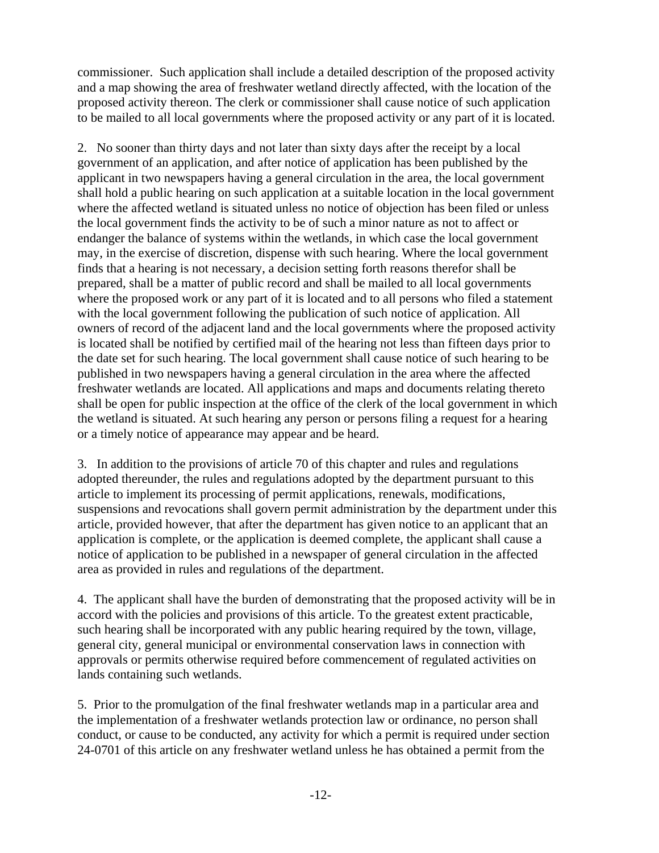commissioner. Such application shall include a detailed description of the proposed activity and a map showing the area of freshwater wetland directly affected, with the location of the proposed activity thereon. The clerk or commissioner shall cause notice of such application to be mailed to all local governments where the proposed activity or any part of it is located.

2. No sooner than thirty days and not later than sixty days after the receipt by a local government of an application, and after notice of application has been published by the applicant in two newspapers having a general circulation in the area, the local government shall hold a public hearing on such application at a suitable location in the local government where the affected wetland is situated unless no notice of objection has been filed or unless the local government finds the activity to be of such a minor nature as not to affect or endanger the balance of systems within the wetlands, in which case the local government may, in the exercise of discretion, dispense with such hearing. Where the local government finds that a hearing is not necessary, a decision setting forth reasons therefor shall be prepared, shall be a matter of public record and shall be mailed to all local governments where the proposed work or any part of it is located and to all persons who filed a statement with the local government following the publication of such notice of application. All owners of record of the adjacent land and the local governments where the proposed activity is located shall be notified by certified mail of the hearing not less than fifteen days prior to the date set for such hearing. The local government shall cause notice of such hearing to be published in two newspapers having a general circulation in the area where the affected freshwater wetlands are located. All applications and maps and documents relating thereto shall be open for public inspection at the office of the clerk of the local government in which the wetland is situated. At such hearing any person or persons filing a request for a hearing or a timely notice of appearance may appear and be heard.

3. In addition to the provisions of article 70 of this chapter and rules and regulations adopted thereunder, the rules and regulations adopted by the department pursuant to this article to implement its processing of permit applications, renewals, modifications, suspensions and revocations shall govern permit administration by the department under this article, provided however, that after the department has given notice to an applicant that an application is complete, or the application is deemed complete, the applicant shall cause a notice of application to be published in a newspaper of general circulation in the affected area as provided in rules and regulations of the department.

4. The applicant shall have the burden of demonstrating that the proposed activity will be in accord with the policies and provisions of this article. To the greatest extent practicable, such hearing shall be incorporated with any public hearing required by the town, village, general city, general municipal or environmental conservation laws in connection with approvals or permits otherwise required before commencement of regulated activities on lands containing such wetlands.

5. Prior to the promulgation of the final freshwater wetlands map in a particular area and the implementation of a freshwater wetlands protection law or ordinance, no person shall conduct, or cause to be conducted, any activity for which a permit is required under section 24-0701 of this article on any freshwater wetland unless he has obtained a permit from the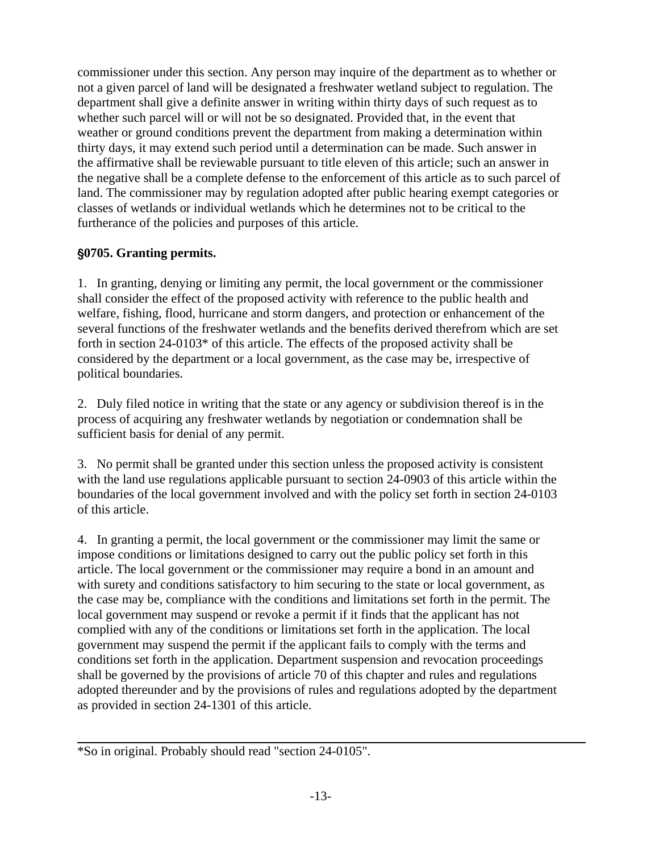<span id="page-13-0"></span>commissioner under this section. Any person may inquire of the department as to whether or not a given parcel of land will be designated a freshwater wetland subject to regulation. The department shall give a definite answer in writing within thirty days of such request as to whether such parcel will or will not be so designated. Provided that, in the event that weather or ground conditions prevent the department from making a determination within thirty days, it may extend such period until a determination can be made. Such answer in the affirmative shall be reviewable pursuant to title eleven of this article; such an answer in the negative shall be a complete defense to the enforcement of this article as to such parcel of land. The commissioner may by regulation adopted after public hearing exempt categories or classes of wetlands or individual wetlands which he determines not to be critical to the furtherance of the policies and purposes of this article.

# '**0705. Granting permits.**

1. In granting, denying or limiting any permit, the local government or the commissioner shall consider the effect of the proposed activity with reference to the public health and welfare, fishing, flood, hurricane and storm dangers, and protection or enhancement of the several functions of the freshwater wetlands and the benefits derived therefrom which are set forth in section 24-0103\* of this article. The effects of the proposed activity shall be considered by the department or a local government, as the case may be, irrespective of political boundaries.

2. Duly filed notice in writing that the state or any agency or subdivision thereof is in the process of acquiring any freshwater wetlands by negotiation or condemnation shall be sufficient basis for denial of any permit.

3. No permit shall be granted under this section unless the proposed activity is consistent with the land use regulations applicable pursuant to section 24-0903 of this article within the boundaries of the local government involved and with the policy set forth in section 24-0103 of this article.

4. In granting a permit, the local government or the commissioner may limit the same or impose conditions or limitations designed to carry out the public policy set forth in this article. The local government or the commissioner may require a bond in an amount and with surety and conditions satisfactory to him securing to the state or local government, as the case may be, compliance with the conditions and limitations set forth in the permit. The local government may suspend or revoke a permit if it finds that the applicant has not complied with any of the conditions or limitations set forth in the application. The local government may suspend the permit if the applicant fails to comply with the terms and conditions set forth in the application. Department suspension and revocation proceedings shall be governed by the provisions of article 70 of this chapter and rules and regulations adopted thereunder and by the provisions of rules and regulations adopted by the department as provided in section 24-1301 of this article.

<sup>\*</sup>So in original. Probably should read "section 24-0105".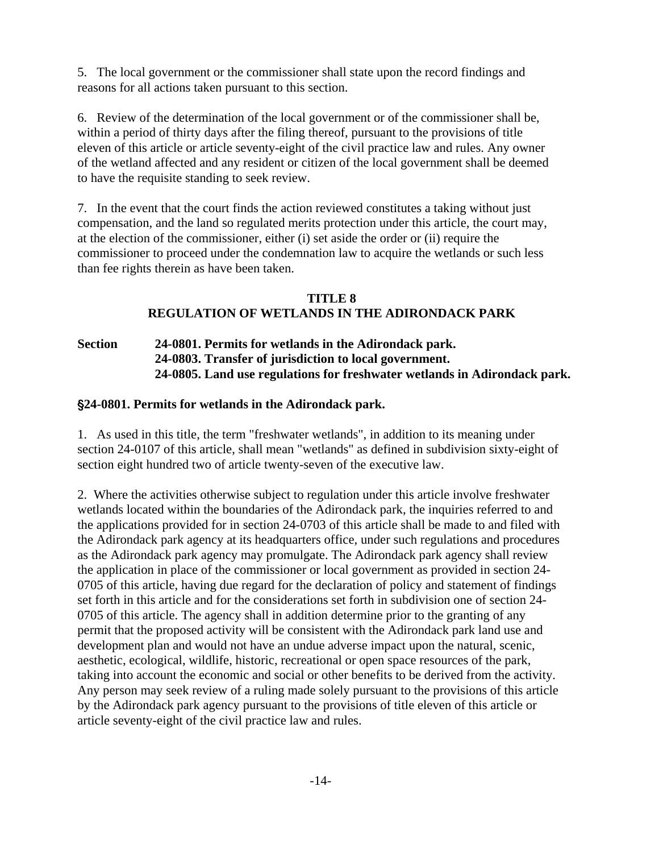<span id="page-14-0"></span>5. The local government or the commissioner shall state upon the record findings and reasons for all actions taken pursuant to this section.

6. Review of the determination of the local government or of the commissioner shall be, within a period of thirty days after the filing thereof, pursuant to the provisions of title eleven of this article or article seventy-eight of the civil practice law and rules. Any owner of the wetland affected and any resident or citizen of the local government shall be deemed to have the requisite standing to seek review.

7. In the event that the court finds the action reviewed constitutes a taking without just compensation, and the land so regulated merits protection under this article, the court may, at the election of the commissioner, either (i) set aside the order or (ii) require the commissioner to proceed under the condemnation law to acquire the wetlands or such less than fee rights therein as have been taken.

# **TITLE 8 REGULATION OF WETLANDS IN THE ADIRONDACK PARK**

**Section 24-0801. Permits for wetlands in the Adirondack park. [24-0803. Transfer of jurisdiction to local government.](#page-15-0)  [24-0805. Land use regulations for freshwater wetlands in Adirondack park.](#page-15-0)**

# '**24-0801. Permits for wetlands in the Adirondack park.**

1. As used in this title, the term "freshwater wetlands", in addition to its meaning under section 24-0107 of this article, shall mean "wetlands" as defined in subdivision sixty-eight of section eight hundred two of article twenty-seven of the executive law.

2. Where the activities otherwise subject to regulation under this article involve freshwater wetlands located within the boundaries of the Adirondack park, the inquiries referred to and the applications provided for in section 24-0703 of this article shall be made to and filed with the Adirondack park agency at its headquarters office, under such regulations and procedures as the Adirondack park agency may promulgate. The Adirondack park agency shall review the application in place of the commissioner or local government as provided in section 24- 0705 of this article, having due regard for the declaration of policy and statement of findings set forth in this article and for the considerations set forth in subdivision one of section 24- 0705 of this article. The agency shall in addition determine prior to the granting of any permit that the proposed activity will be consistent with the Adirondack park land use and development plan and would not have an undue adverse impact upon the natural, scenic, aesthetic, ecological, wildlife, historic, recreational or open space resources of the park, taking into account the economic and social or other benefits to be derived from the activity. Any person may seek review of a ruling made solely pursuant to the provisions of this article by the Adirondack park agency pursuant to the provisions of title eleven of this article or article seventy-eight of the civil practice law and rules.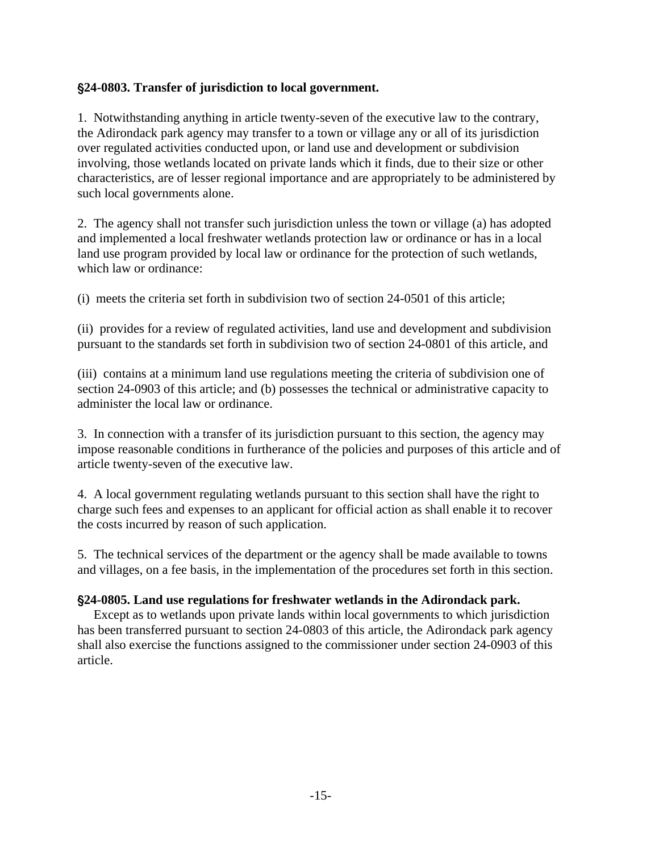# <span id="page-15-0"></span>'**24-0803. Transfer of jurisdiction to local government.**

1. Notwithstanding anything in article twenty-seven of the executive law to the contrary, the Adirondack park agency may transfer to a town or village any or all of its jurisdiction over regulated activities conducted upon, or land use and development or subdivision involving, those wetlands located on private lands which it finds, due to their size or other characteristics, are of lesser regional importance and are appropriately to be administered by such local governments alone.

2. The agency shall not transfer such jurisdiction unless the town or village (a) has adopted and implemented a local freshwater wetlands protection law or ordinance or has in a local land use program provided by local law or ordinance for the protection of such wetlands, which law or ordinance:

(i) meets the criteria set forth in subdivision two of section 24-0501 of this article;

(ii) provides for a review of regulated activities, land use and development and subdivision pursuant to the standards set forth in subdivision two of section 24-0801 of this article, and

(iii) contains at a minimum land use regulations meeting the criteria of subdivision one of section 24-0903 of this article; and (b) possesses the technical or administrative capacity to administer the local law or ordinance.

3. In connection with a transfer of its jurisdiction pursuant to this section, the agency may impose reasonable conditions in furtherance of the policies and purposes of this article and of article twenty-seven of the executive law.

4. A local government regulating wetlands pursuant to this section shall have the right to charge such fees and expenses to an applicant for official action as shall enable it to recover the costs incurred by reason of such application.

5. The technical services of the department or the agency shall be made available to towns and villages, on a fee basis, in the implementation of the procedures set forth in this section.

#### '**24-0805. Land use regulations for freshwater wetlands in the Adirondack park.**

 Except as to wetlands upon private lands within local governments to which jurisdiction has been transferred pursuant to section 24-0803 of this article, the Adirondack park agency shall also exercise the functions assigned to the commissioner under section 24-0903 of this article.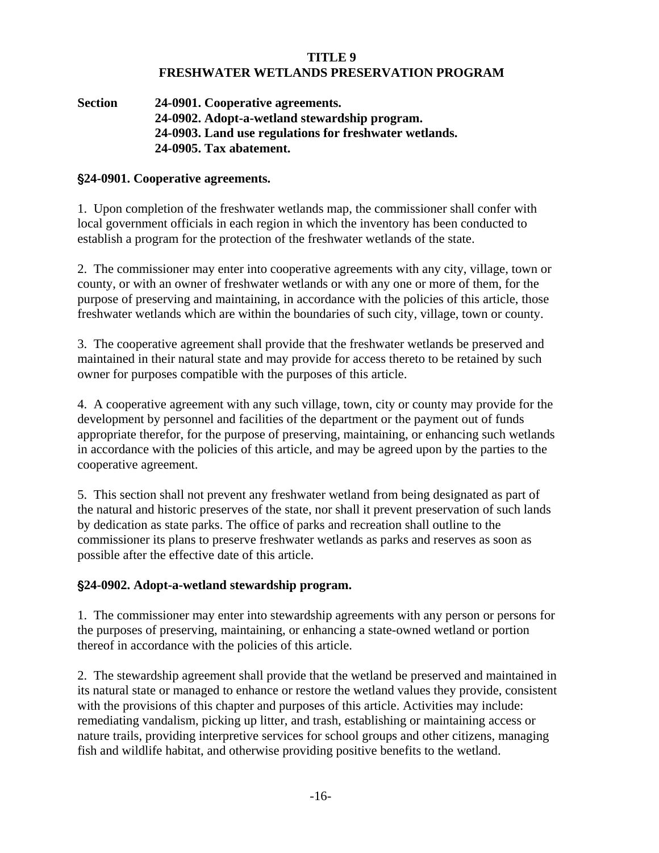#### **TITLE 9 FRESHWATER WETLANDS PRESERVATION PROGRAM**

<span id="page-16-0"></span>**Section 24-0901. Cooperative agreements. 24-0902. Adopt-a-wetland stewardship program. [24-0903. Land use regulations for freshwater wetlands.](#page-17-0)  [24-0905. Tax abatement.](#page-18-0)** 

# '**24-0901. Cooperative agreements.**

1. Upon completion of the freshwater wetlands map, the commissioner shall confer with local government officials in each region in which the inventory has been conducted to establish a program for the protection of the freshwater wetlands of the state.

2. The commissioner may enter into cooperative agreements with any city, village, town or county, or with an owner of freshwater wetlands or with any one or more of them, for the purpose of preserving and maintaining, in accordance with the policies of this article, those freshwater wetlands which are within the boundaries of such city, village, town or county.

3. The cooperative agreement shall provide that the freshwater wetlands be preserved and maintained in their natural state and may provide for access thereto to be retained by such owner for purposes compatible with the purposes of this article.

4. A cooperative agreement with any such village, town, city or county may provide for the development by personnel and facilities of the department or the payment out of funds appropriate therefor, for the purpose of preserving, maintaining, or enhancing such wetlands in accordance with the policies of this article, and may be agreed upon by the parties to the cooperative agreement.

5. This section shall not prevent any freshwater wetland from being designated as part of the natural and historic preserves of the state, nor shall it prevent preservation of such lands by dedication as state parks. The office of parks and recreation shall outline to the commissioner its plans to preserve freshwater wetlands as parks and reserves as soon as possible after the effective date of this article.

# '**24-0902. Adopt-a-wetland stewardship program.**

1. The commissioner may enter into stewardship agreements with any person or persons for the purposes of preserving, maintaining, or enhancing a state-owned wetland or portion thereof in accordance with the policies of this article.

2. The stewardship agreement shall provide that the wetland be preserved and maintained in its natural state or managed to enhance or restore the wetland values they provide, consistent with the provisions of this chapter and purposes of this article. Activities may include: remediating vandalism, picking up litter, and trash, establishing or maintaining access or nature trails, providing interpretive services for school groups and other citizens, managing fish and wildlife habitat, and otherwise providing positive benefits to the wetland.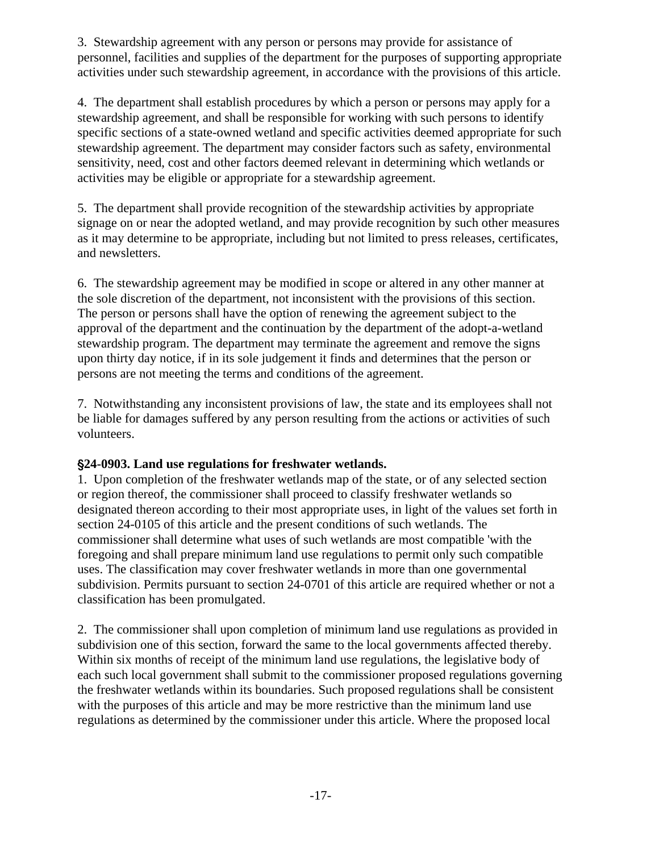<span id="page-17-0"></span>3. Stewardship agreement with any person or persons may provide for assistance of personnel, facilities and supplies of the department for the purposes of supporting appropriate activities under such stewardship agreement, in accordance with the provisions of this article.

4. The department shall establish procedures by which a person or persons may apply for a stewardship agreement, and shall be responsible for working with such persons to identify specific sections of a state-owned wetland and specific activities deemed appropriate for such stewardship agreement. The department may consider factors such as safety, environmental sensitivity, need, cost and other factors deemed relevant in determining which wetlands or activities may be eligible or appropriate for a stewardship agreement.

5. The department shall provide recognition of the stewardship activities by appropriate signage on or near the adopted wetland, and may provide recognition by such other measures as it may determine to be appropriate, including but not limited to press releases, certificates, and newsletters.

6. The stewardship agreement may be modified in scope or altered in any other manner at the sole discretion of the department, not inconsistent with the provisions of this section. The person or persons shall have the option of renewing the agreement subject to the approval of the department and the continuation by the department of the adopt-a-wetland stewardship program. The department may terminate the agreement and remove the signs upon thirty day notice, if in its sole judgement it finds and determines that the person or persons are not meeting the terms and conditions of the agreement.

7. Notwithstanding any inconsistent provisions of law, the state and its employees shall not be liable for damages suffered by any person resulting from the actions or activities of such volunteers.

# '**24-0903. Land use regulations for freshwater wetlands.**

1. Upon completion of the freshwater wetlands map of the state, or of any selected section or region thereof, the commissioner shall proceed to classify freshwater wetlands so designated thereon according to their most appropriate uses, in light of the values set forth in section 24-0105 of this article and the present conditions of such wetlands. The commissioner shall determine what uses of such wetlands are most compatible 'with the foregoing and shall prepare minimum land use regulations to permit only such compatible uses. The classification may cover freshwater wetlands in more than one governmental subdivision. Permits pursuant to section 24-0701 of this article are required whether or not a classification has been promulgated.

2. The commissioner shall upon completion of minimum land use regulations as provided in subdivision one of this section, forward the same to the local governments affected thereby. Within six months of receipt of the minimum land use regulations, the legislative body of each such local government shall submit to the commissioner proposed regulations governing the freshwater wetlands within its boundaries. Such proposed regulations shall be consistent with the purposes of this article and may be more restrictive than the minimum land use regulations as determined by the commissioner under this article. Where the proposed local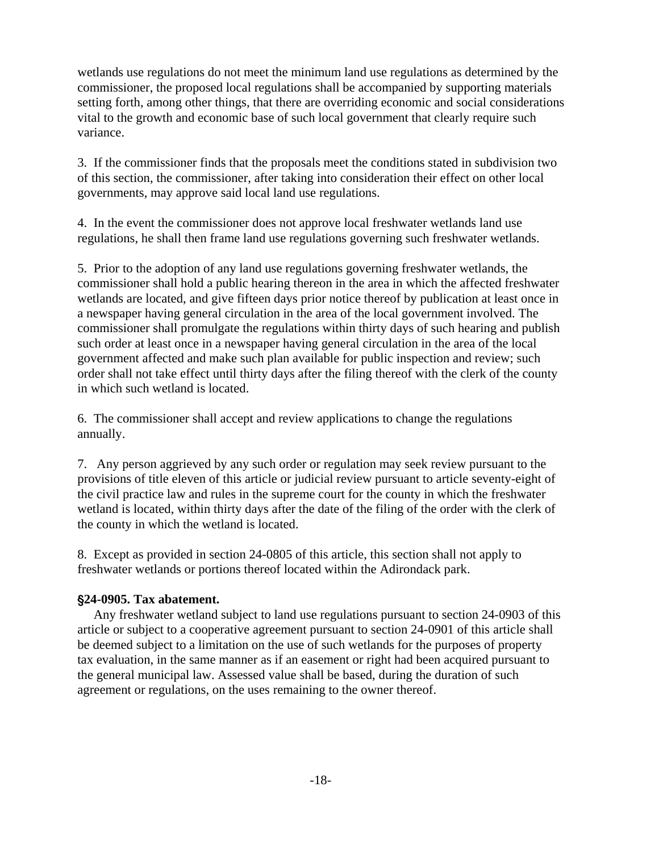<span id="page-18-0"></span>wetlands use regulations do not meet the minimum land use regulations as determined by the commissioner, the proposed local regulations shall be accompanied by supporting materials setting forth, among other things, that there are overriding economic and social considerations vital to the growth and economic base of such local government that clearly require such variance.

3. If the commissioner finds that the proposals meet the conditions stated in subdivision two of this section, the commissioner, after taking into consideration their effect on other local governments, may approve said local land use regulations.

4. In the event the commissioner does not approve local freshwater wetlands land use regulations, he shall then frame land use regulations governing such freshwater wetlands.

5. Prior to the adoption of any land use regulations governing freshwater wetlands, the commissioner shall hold a public hearing thereon in the area in which the affected freshwater wetlands are located, and give fifteen days prior notice thereof by publication at least once in a newspaper having general circulation in the area of the local government involved. The commissioner shall promulgate the regulations within thirty days of such hearing and publish such order at least once in a newspaper having general circulation in the area of the local government affected and make such plan available for public inspection and review; such order shall not take effect until thirty days after the filing thereof with the clerk of the county in which such wetland is located.

6. The commissioner shall accept and review applications to change the regulations annually.

7. Any person aggrieved by any such order or regulation may seek review pursuant to the provisions of title eleven of this article or judicial review pursuant to article seventy-eight of the civil practice law and rules in the supreme court for the county in which the freshwater wetland is located, within thirty days after the date of the filing of the order with the clerk of the county in which the wetland is located.

8. Except as provided in section 24-0805 of this article, this section shall not apply to freshwater wetlands or portions thereof located within the Adirondack park.

# '**24-0905. Tax abatement.**

 Any freshwater wetland subject to land use regulations pursuant to section 24-0903 of this article or subject to a cooperative agreement pursuant to section 24-0901 of this article shall be deemed subject to a limitation on the use of such wetlands for the purposes of property tax evaluation, in the same manner as if an easement or right had been acquired pursuant to the general municipal law. Assessed value shall be based, during the duration of such agreement or regulations, on the uses remaining to the owner thereof.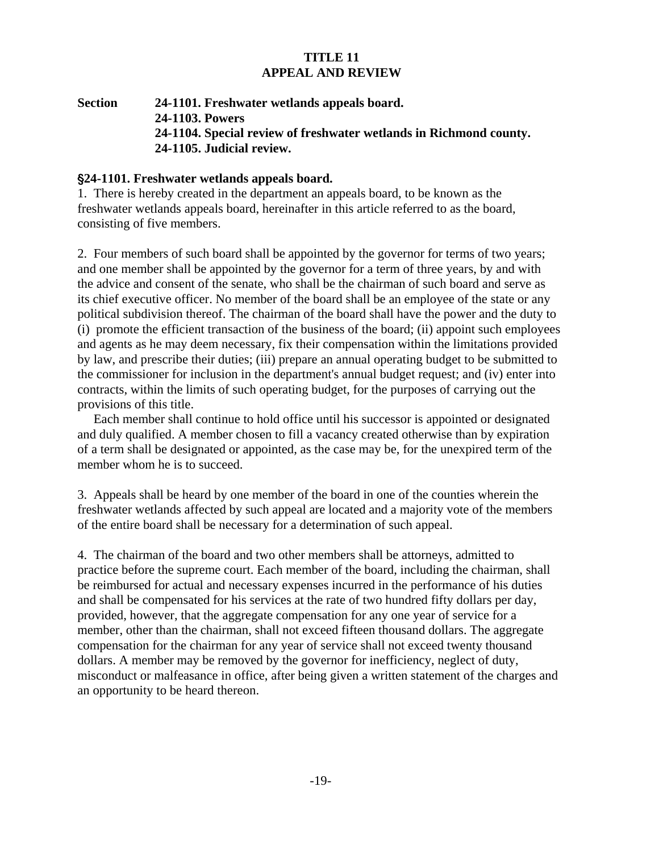#### **TITLE 11 APPEAL AND REVIEW**

# <span id="page-19-0"></span>**Section 24-1101. Freshwater wetlands appeals board. [24-1103. Powers](#page-20-0)  [24-1104. Special review of freshwater wetlands in Richmond county.](#page-21-0)  [24-1105. Judicial review.](#page-22-0)**

#### '**24-1101. Freshwater wetlands appeals board.**

1. There is hereby created in the department an appeals board, to be known as the freshwater wetlands appeals board, hereinafter in this article referred to as the board, consisting of five members.

2. Four members of such board shall be appointed by the governor for terms of two years; and one member shall be appointed by the governor for a term of three years, by and with the advice and consent of the senate, who shall be the chairman of such board and serve as its chief executive officer. No member of the board shall be an employee of the state or any political subdivision thereof. The chairman of the board shall have the power and the duty to (i) promote the efficient transaction of the business of the board; (ii) appoint such employees and agents as he may deem necessary, fix their compensation within the limitations provided by law, and prescribe their duties; (iii) prepare an annual operating budget to be submitted to the commissioner for inclusion in the department's annual budget request; and (iv) enter into contracts, within the limits of such operating budget, for the purposes of carrying out the provisions of this title.

 Each member shall continue to hold office until his successor is appointed or designated and duly qualified. A member chosen to fill a vacancy created otherwise than by expiration of a term shall be designated or appointed, as the case may be, for the unexpired term of the member whom he is to succeed.

3. Appeals shall be heard by one member of the board in one of the counties wherein the freshwater wetlands affected by such appeal are located and a majority vote of the members of the entire board shall be necessary for a determination of such appeal.

4. The chairman of the board and two other members shall be attorneys, admitted to practice before the supreme court. Each member of the board, including the chairman, shall be reimbursed for actual and necessary expenses incurred in the performance of his duties and shall be compensated for his services at the rate of two hundred fifty dollars per day, provided, however, that the aggregate compensation for any one year of service for a member, other than the chairman, shall not exceed fifteen thousand dollars. The aggregate compensation for the chairman for any year of service shall not exceed twenty thousand dollars. A member may be removed by the governor for inefficiency, neglect of duty, misconduct or malfeasance in office, after being given a written statement of the charges and an opportunity to be heard thereon.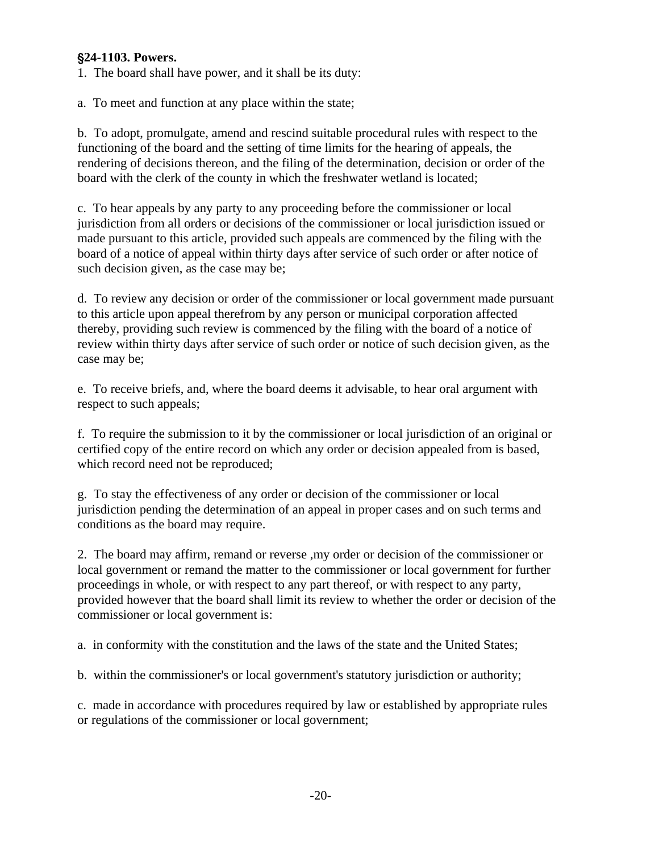# <span id="page-20-0"></span>'**24-1103. Powers.**

1. The board shall have power, and it shall be its duty:

a. To meet and function at any place within the state;

b. To adopt, promulgate, amend and rescind suitable procedural rules with respect to the functioning of the board and the setting of time limits for the hearing of appeals, the rendering of decisions thereon, and the filing of the determination, decision or order of the board with the clerk of the county in which the freshwater wetland is located;

c. To hear appeals by any party to any proceeding before the commissioner or local jurisdiction from all orders or decisions of the commissioner or local jurisdiction issued or made pursuant to this article, provided such appeals are commenced by the filing with the board of a notice of appeal within thirty days after service of such order or after notice of such decision given, as the case may be;

d. To review any decision or order of the commissioner or local government made pursuant to this article upon appeal therefrom by any person or municipal corporation affected thereby, providing such review is commenced by the filing with the board of a notice of review within thirty days after service of such order or notice of such decision given, as the case may be;

e. To receive briefs, and, where the board deems it advisable, to hear oral argument with respect to such appeals;

f. To require the submission to it by the commissioner or local jurisdiction of an original or certified copy of the entire record on which any order or decision appealed from is based, which record need not be reproduced;

g. To stay the effectiveness of any order or decision of the commissioner or local jurisdiction pending the determination of an appeal in proper cases and on such terms and conditions as the board may require.

2. The board may affirm, remand or reverse ,my order or decision of the commissioner or local government or remand the matter to the commissioner or local government for further proceedings in whole, or with respect to any part thereof, or with respect to any party, provided however that the board shall limit its review to whether the order or decision of the commissioner or local government is:

a. in conformity with the constitution and the laws of the state and the United States;

b. within the commissioner's or local government's statutory jurisdiction or authority;

c. made in accordance with procedures required by law or established by appropriate rules or regulations of the commissioner or local government;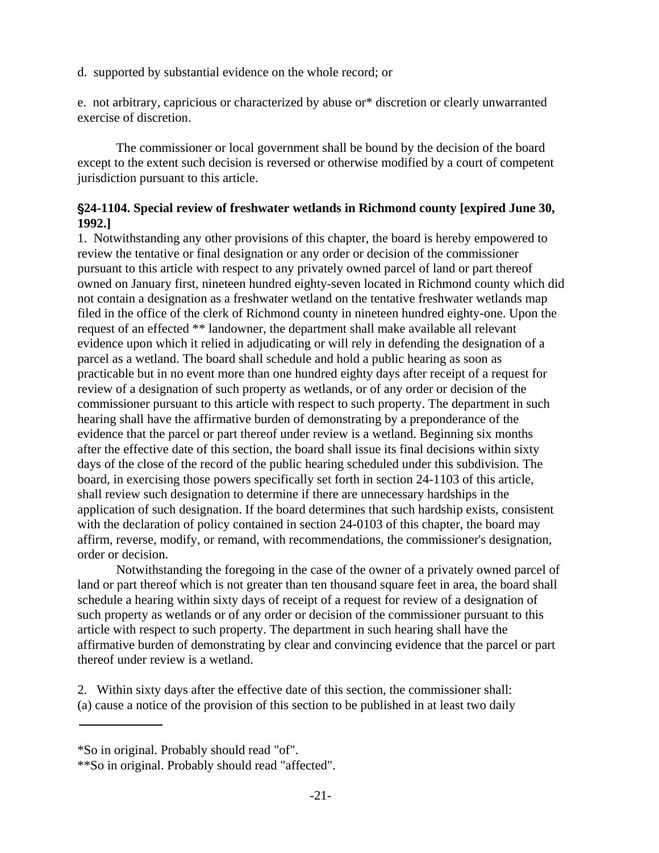<span id="page-21-0"></span>d. supported by substantial evidence on the whole record; or

e. not arbitrary, capricious or characterized by abuse or\* discretion or clearly unwarranted exercise of discretion.

The commissioner or local government shall be bound by the decision of the board except to the extent such decision is reversed or otherwise modified by a court of competent jurisdiction pursuant to this article.

# '**24-1104. Special review of freshwater wetlands in Richmond county [expired June 30, 1992.]**

1. Notwithstanding any other provisions of this chapter, the board is hereby empowered to review the tentative or final designation or any order or decision of the commissioner pursuant to this article with respect to any privately owned parcel of land or part thereof owned on January first, nineteen hundred eighty-seven located in Richmond county which did not contain a designation as a freshwater wetland on the tentative freshwater wetlands map filed in the office of the clerk of Richmond county in nineteen hundred eighty-one. Upon the request of an effected \*\* landowner, the department shall make available all relevant evidence upon which it relied in adjudicating or will rely in defending the designation of a parcel as a wetland. The board shall schedule and hold a public hearing as soon as practicable but in no event more than one hundred eighty days after receipt of a request for review of a designation of such property as wetlands, or of any order or decision of the commissioner pursuant to this article with respect to such property. The department in such hearing shall have the affirmative burden of demonstrating by a preponderance of the evidence that the parcel or part thereof under review is a wetland. Beginning six months after the effective date of this section, the board shall issue its final decisions within sixty days of the close of the record of the public hearing scheduled under this subdivision. The board, in exercising those powers specifically set forth in section 24-1103 of this article, shall review such designation to determine if there are unnecessary hardships in the application of such designation. If the board determines that such hardship exists, consistent with the declaration of policy contained in section 24-0103 of this chapter, the board may affirm, reverse, modify, or remand, with recommendations, the commissioner's designation, order or decision.

Notwithstanding the foregoing in the case of the owner of a privately owned parcel of land or part thereof which is not greater than ten thousand square feet in area, the board shall schedule a hearing within sixty days of receipt of a request for review of a designation of such property as wetlands or of any order or decision of the commissioner pursuant to this article with respect to such property. The department in such hearing shall have the affirmative burden of demonstrating by clear and convincing evidence that the parcel or part thereof under review is a wetland.

2. Within sixty days after the effective date of this section, the commissioner shall: (a) cause a notice of the provision of this section to be published in at least two daily

<sup>\*</sup>So in original. Probably should read "of".

<sup>\*\*</sup>So in original. Probably should read "affected".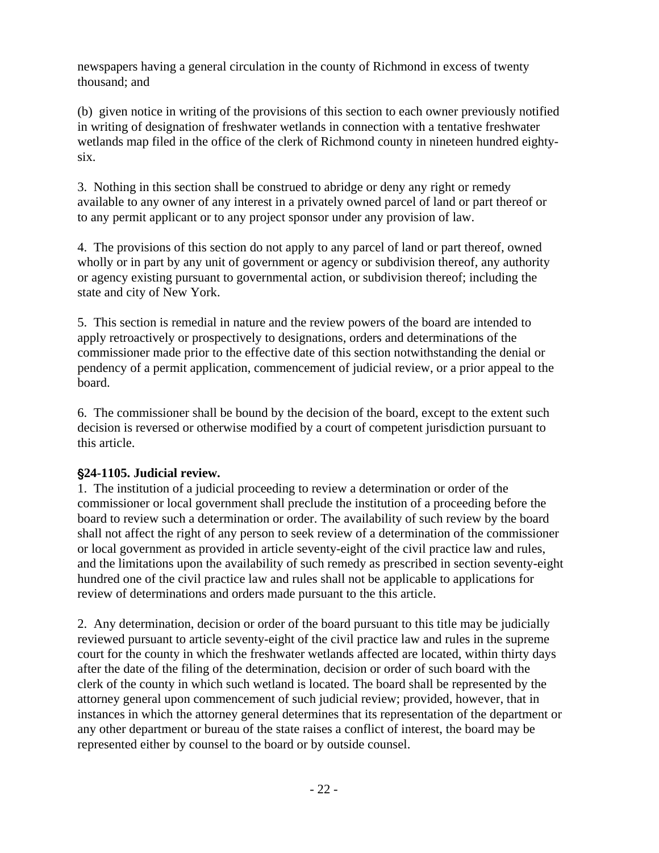<span id="page-22-0"></span>newspapers having a general circulation in the county of Richmond in excess of twenty thousand; and

(b) given notice in writing of the provisions of this section to each owner previously notified in writing of designation of freshwater wetlands in connection with a tentative freshwater wetlands map filed in the office of the clerk of Richmond county in nineteen hundred eightysix.

3. Nothing in this section shall be construed to abridge or deny any right or remedy available to any owner of any interest in a privately owned parcel of land or part thereof or to any permit applicant or to any project sponsor under any provision of law.

4. The provisions of this section do not apply to any parcel of land or part thereof, owned wholly or in part by any unit of government or agency or subdivision thereof, any authority or agency existing pursuant to governmental action, or subdivision thereof; including the state and city of New York.

5. This section is remedial in nature and the review powers of the board are intended to apply retroactively or prospectively to designations, orders and determinations of the commissioner made prior to the effective date of this section notwithstanding the denial or pendency of a permit application, commencement of judicial review, or a prior appeal to the board.

6. The commissioner shall be bound by the decision of the board, except to the extent such decision is reversed or otherwise modified by a court of competent jurisdiction pursuant to this article.

# '**24-1105. Judicial review.**

1. The institution of a judicial proceeding to review a determination or order of the commissioner or local government shall preclude the institution of a proceeding before the board to review such a determination or order. The availability of such review by the board shall not affect the right of any person to seek review of a determination of the commissioner or local government as provided in article seventy-eight of the civil practice law and rules, and the limitations upon the availability of such remedy as prescribed in section seventy-eight hundred one of the civil practice law and rules shall not be applicable to applications for review of determinations and orders made pursuant to the this article.

2. Any determination, decision or order of the board pursuant to this title may be judicially reviewed pursuant to article seventy-eight of the civil practice law and rules in the supreme court for the county in which the freshwater wetlands affected are located, within thirty days after the date of the filing of the determination, decision or order of such board with the clerk of the county in which such wetland is located. The board shall be represented by the attorney general upon commencement of such judicial review; provided, however, that in instances in which the attorney general determines that its representation of the department or any other department or bureau of the state raises a conflict of interest, the board may be represented either by counsel to the board or by outside counsel.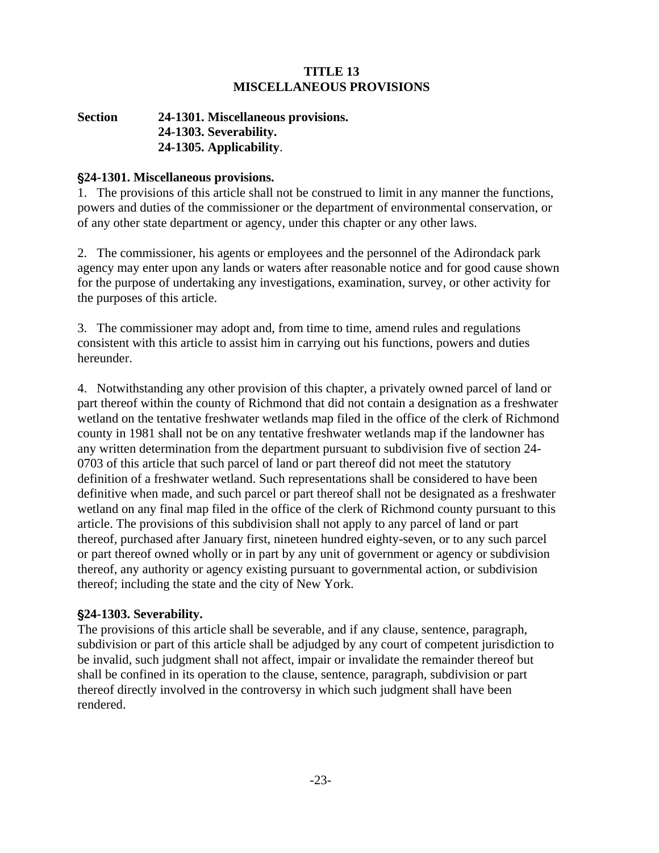#### **TITLE 13 MISCELLANEOUS PROVISIONS**

## <span id="page-23-0"></span>**Section 24-1301. Miscellaneous provisions. [24-1303. Severability.](#page-24-0)   [24-1305. Applicability](#page-24-0)**.

#### '**24-1301. Miscellaneous provisions.**

1. The provisions of this article shall not be construed to limit in any manner the functions, powers and duties of the commissioner or the department of environmental conservation, or of any other state department or agency, under this chapter or any other laws.

2. The commissioner, his agents or employees and the personnel of the Adirondack park agency may enter upon any lands or waters after reasonable notice and for good cause shown for the purpose of undertaking any investigations, examination, survey, or other activity for the purposes of this article.

3. The commissioner may adopt and, from time to time, amend rules and regulations consistent with this article to assist him in carrying out his functions, powers and duties hereunder.

4. Notwithstanding any other provision of this chapter, a privately owned parcel of land or part thereof within the county of Richmond that did not contain a designation as a freshwater wetland on the tentative freshwater wetlands map filed in the office of the clerk of Richmond county in 1981 shall not be on any tentative freshwater wetlands map if the landowner has any written determination from the department pursuant to subdivision five of section 24- 0703 of this article that such parcel of land or part thereof did not meet the statutory definition of a freshwater wetland. Such representations shall be considered to have been definitive when made, and such parcel or part thereof shall not be designated as a freshwater wetland on any final map filed in the office of the clerk of Richmond county pursuant to this article. The provisions of this subdivision shall not apply to any parcel of land or part thereof, purchased after January first, nineteen hundred eighty-seven, or to any such parcel or part thereof owned wholly or in part by any unit of government or agency or subdivision thereof, any authority or agency existing pursuant to governmental action, or subdivision thereof; including the state and the city of New York.

# '**24-1303. Severability.**

The provisions of this article shall be severable, and if any clause, sentence, paragraph, subdivision or part of this article shall be adjudged by any court of competent jurisdiction to be invalid, such judgment shall not affect, impair or invalidate the remainder thereof but shall be confined in its operation to the clause, sentence, paragraph, subdivision or part thereof directly involved in the controversy in which such judgment shall have been rendered.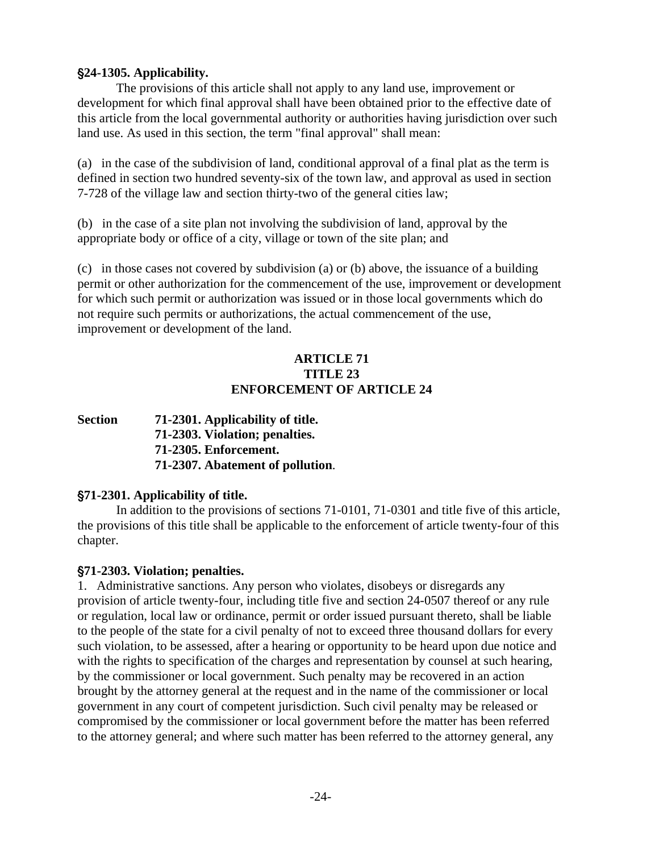# <span id="page-24-0"></span>'**24-1305. Applicability.**

The provisions of this article shall not apply to any land use, improvement or development for which final approval shall have been obtained prior to the effective date of this article from the local governmental authority or authorities having jurisdiction over such land use. As used in this section, the term "final approval" shall mean:

(a) in the case of the subdivision of land, conditional approval of a final plat as the term is defined in section two hundred seventy-six of the town law, and approval as used in section 7-728 of the village law and section thirty-two of the general cities law;

(b) in the case of a site plan not involving the subdivision of land, approval by the appropriate body or office of a city, village or town of the site plan; and

(c) in those cases not covered by subdivision (a) or (b) above, the issuance of a building permit or other authorization for the commencement of the use, improvement or development for which such permit or authorization was issued or in those local governments which do not require such permits or authorizations, the actual commencement of the use, improvement or development of the land.

# **ARTICLE 71 TITLE 23 ENFORCEMENT OF ARTICLE 24**

**Section 71-2301. Applicability of title. 71-2303. Violation; penalties. [71-2305. Enforcement.](#page-25-0)  [71-2307. Abatement of pollution](#page-26-0)**.

# '**71-2301. Applicability of title.**

In addition to the provisions of sections 71-0101, 71-0301 and title five of this article, the provisions of this title shall be applicable to the enforcement of article twenty-four of this chapter.

# '**71-2303. Violation; penalties.**

1. Administrative sanctions. Any person who violates, disobeys or disregards any provision of article twenty-four, including title five and section 24-0507 thereof or any rule or regulation, local law or ordinance, permit or order issued pursuant thereto, shall be liable to the people of the state for a civil penalty of not to exceed three thousand dollars for every such violation, to be assessed, after a hearing or opportunity to be heard upon due notice and with the rights to specification of the charges and representation by counsel at such hearing, by the commissioner or local government. Such penalty may be recovered in an action brought by the attorney general at the request and in the name of the commissioner or local government in any court of competent jurisdiction. Such civil penalty may be released or compromised by the commissioner or local government before the matter has been referred to the attorney general; and where such matter has been referred to the attorney general, any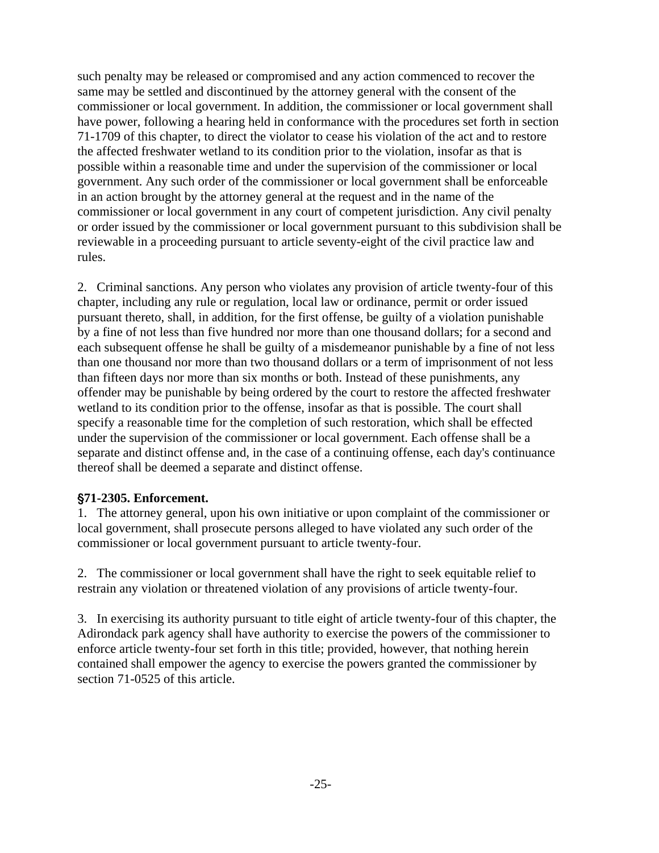<span id="page-25-0"></span>such penalty may be released or compromised and any action commenced to recover the same may be settled and discontinued by the attorney general with the consent of the commissioner or local government. In addition, the commissioner or local government shall have power, following a hearing held in conformance with the procedures set forth in section 71-1709 of this chapter, to direct the violator to cease his violation of the act and to restore the affected freshwater wetland to its condition prior to the violation, insofar as that is possible within a reasonable time and under the supervision of the commissioner or local government. Any such order of the commissioner or local government shall be enforceable in an action brought by the attorney general at the request and in the name of the commissioner or local government in any court of competent jurisdiction. Any civil penalty or order issued by the commissioner or local government pursuant to this subdivision shall be reviewable in a proceeding pursuant to article seventy-eight of the civil practice law and rules.

2. Criminal sanctions. Any person who violates any provision of article twenty-four of this chapter, including any rule or regulation, local law or ordinance, permit or order issued pursuant thereto, shall, in addition, for the first offense, be guilty of a violation punishable by a fine of not less than five hundred nor more than one thousand dollars; for a second and each subsequent offense he shall be guilty of a misdemeanor punishable by a fine of not less than one thousand nor more than two thousand dollars or a term of imprisonment of not less than fifteen days nor more than six months or both. Instead of these punishments, any offender may be punishable by being ordered by the court to restore the affected freshwater wetland to its condition prior to the offense, insofar as that is possible. The court shall specify a reasonable time for the completion of such restoration, which shall be effected under the supervision of the commissioner or local government. Each offense shall be a separate and distinct offense and, in the case of a continuing offense, each day's continuance thereof shall be deemed a separate and distinct offense.

#### '**71-2305. Enforcement.**

1. The attorney general, upon his own initiative or upon complaint of the commissioner or local government, shall prosecute persons alleged to have violated any such order of the commissioner or local government pursuant to article twenty-four.

2. The commissioner or local government shall have the right to seek equitable relief to restrain any violation or threatened violation of any provisions of article twenty-four.

3. In exercising its authority pursuant to title eight of article twenty-four of this chapter, the Adirondack park agency shall have authority to exercise the powers of the commissioner to enforce article twenty-four set forth in this title; provided, however, that nothing herein contained shall empower the agency to exercise the powers granted the commissioner by section 71-0525 of this article.